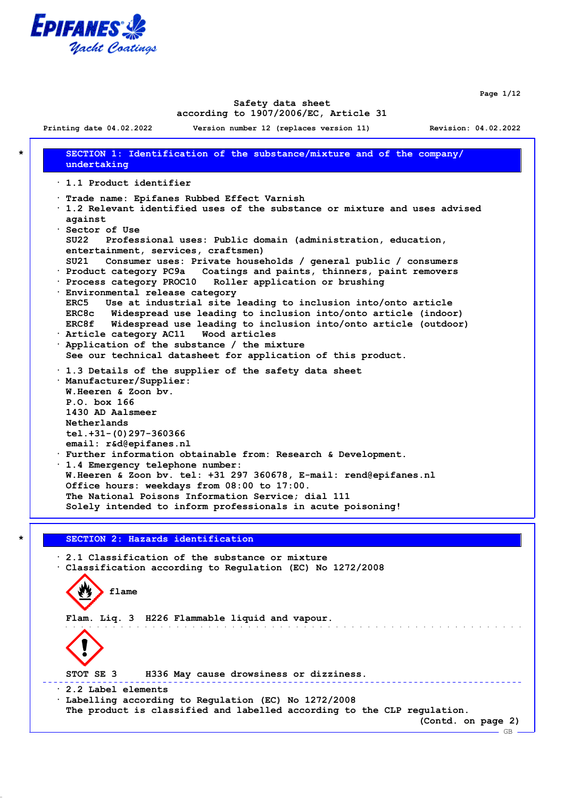

**Page 1/12**

### **Safety data sheet according to 1907/2006/EC, Article 31**

**Printing date 04.02.2022 Version number 12 (replaces version 11) Revision: 04.02.2022 \* SECTION 1: Identification of the substance/mixture and of the company/ undertaking · 1.1 Product identifier · Trade name: Epifanes Rubbed Effect Varnish · 1.2 Relevant identified uses of the substance or mixture and uses advised against · Sector of Use SU22 Professional uses: Public domain (administration, education, entertainment, services, craftsmen) SU21 Consumer uses: Private households / general public / consumers · Product category PC9a Coatings and paints, thinners, paint removers · Process category PROC10 Roller application or brushing · Environmental release category ERC5 Use at industrial site leading to inclusion into/onto article ERC8c Widespread use leading to inclusion into/onto article (indoor) ERC8f Widespread use leading to inclusion into/onto article (outdoor) · Article category AC11 Wood articles · Application of the substance / the mixture See our technical datasheet for application of this product. · 1.3 Details of the supplier of the safety data sheet · Manufacturer/Supplier: W.Heeren & Zoon bv. P.O. box 166 1430 AD Aalsmeer Netherlands tel.+31-(0)297-360366 email: r&d@epifanes.nl · Further information obtainable from: Research & Development. · 1.4 Emergency telephone number: W.Heeren & Zoon bv. tel: +31 297 360678, E-mail: rend@epifanes.nl Office hours: weekdays from 08:00 to 17:00. The National Poisons Information Service; dial 111 Solely intended to inform professionals in acute poisoning!**

### **\* SECTION 2: Hazards identification**

**· 2.1 Classification of the substance or mixture · Classification according to Regulation (EC) No 1272/2008 flame Flam. Liq. 3 H226 Flammable liquid and vapour.** and the state of the state of the state of the state of the state of the state of the state of the state of the **STOT SE 3 H336 May cause drowsiness or dizziness.** \_\_\_\_\_\_\_\_\_\_\_\_\_\_\_\_\_\_\_\_\_\_\_\_\_\_\_\_ **· 2.2 Label elements · Labelling according to Regulation (EC) No 1272/2008 The product is classified and labelled according to the CLP regulation. (Contd. on page 2)**  $-$  GB $-$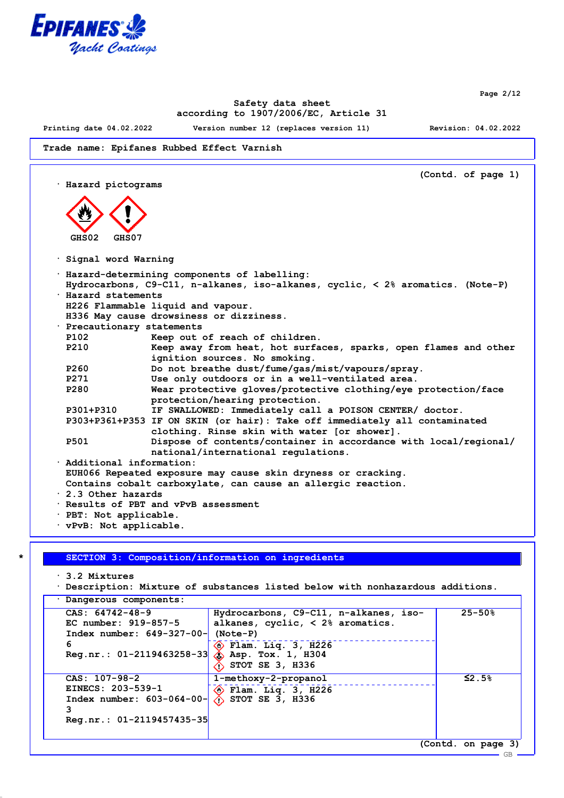

**Page 2/12**

# **Safety data sheet according to 1907/2006/EC, Article 31**

**Printing date 04.02.2022 Version number 12 (replaces version 11) Revision: 04.02.2022**

**Trade name: Epifanes Rubbed Effect Varnish**

**(Contd. of page 1) · Hazard pictograms GHS02 GHS07 · Signal word Warning · Hazard-determining components of labelling: Hydrocarbons, C9-C11, n-alkanes, iso-alkanes, cyclic, < 2% aromatics. (Note-P) · Hazard statements H226 Flammable liquid and vapour. H336 May cause drowsiness or dizziness. · Precautionary statements P102 Keep out of reach of children. P210 Keep away from heat, hot surfaces, sparks, open flames and other ignition sources. No smoking. P260 Do not breathe dust/fume/gas/mist/vapours/spray. P271 Use only outdoors or in a well-ventilated area.** Wear protective gloves/protective clothing/eye protection/face **protection/hearing protection. P301+P310 IF SWALLOWED: Immediately call a POISON CENTER/ doctor. P303+P361+P353 IF ON SKIN (or hair): Take off immediately all contaminated clothing. Rinse skin with water [or shower]. P501 Dispose of contents/container in accordance with local/regional/ national/international regulations. · Additional information: EUH066 Repeated exposure may cause skin dryness or cracking. Contains cobalt carboxylate, can cause an allergic reaction. · 2.3 Other hazards · Results of PBT and vPvB assessment · PBT: Not applicable. · vPvB: Not applicable.**

#### **\* SECTION 3: Composition/information on ingredients**

**· 3.2 Mixtures**

```
· Description: Mixture of substances listed below with nonhazardous additions.
```
**· Dangerous components:**

| $CAS: 64742-48-9$<br>EC number: 919-857-5                        | Hydrocarbons, C9-C11, n-alkanes, iso-<br>alkanes, cyclic, $\langle$ 2% aromatics. | $25 - 50%$         |
|------------------------------------------------------------------|-----------------------------------------------------------------------------------|--------------------|
| Index number: $649-327-00$ -                                     | $(Note-P)$                                                                        |                    |
| 6<br>Reg.nr.: $01-2119463258-33$ $\circled{)}$ Asp. Tox. 1, H304 | $\langle \bullet \rangle$ Flam. Liq. 3, H226<br>STOT SE 3, H336                   |                    |
| $CAS: 107-98-2$                                                  | 1-methoxy-2-propanol                                                              | $\leq$ 2.5%        |
| EINECS: 203-539-1<br>Index number: $603-064-00$ -                | $\langle \rangle$ Flam. Liq. 3, H226<br>$\Diamond$ STOT SE 3, H336                |                    |
| $\text{Req.nr.}: 01-2119457435-35$                               |                                                                                   |                    |
|                                                                  |                                                                                   | (Contd. on page 3) |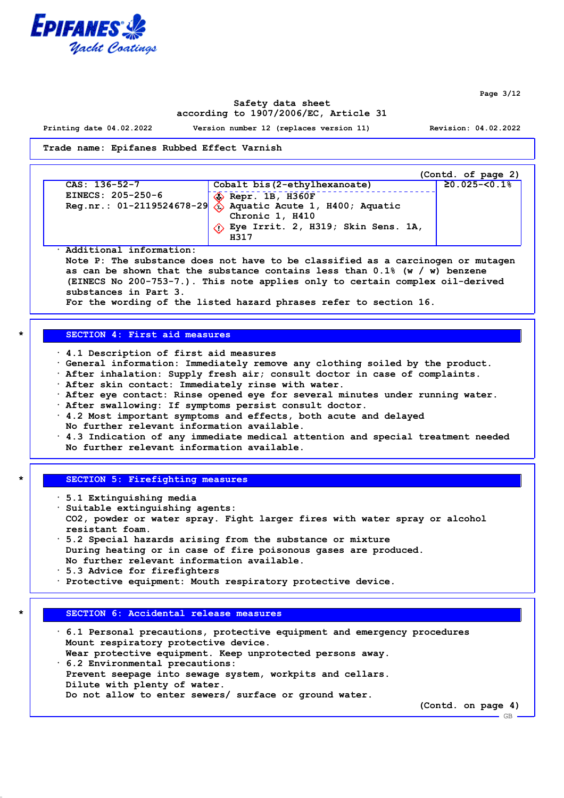

**Page 3/12**

GB

## **Safety data sheet according to 1907/2006/EC, Article 31**

**Printing date 04.02.2022 Version number 12 (replaces version 11) Revision: 04.02.2022**

**Trade name: Epifanes Rubbed Effect Varnish**

|                   |                                                               | (Contd. of page 2)   |
|-------------------|---------------------------------------------------------------|----------------------|
| CAS: 136-52-7     | Cobalt bis (2-ethylhexanoate)                                 | $\geq 0.025 - 50.18$ |
| EINECS: 205-250-6 | $\diamondsuit$ Repr. 1B, H360F                                |                      |
|                   | Reg.nr.: 01-2119524678-29 $\&$ Aquatic Acute 1, H400; Aquatic |                      |
|                   | Chronic 1, H410                                               |                      |
|                   | $\Diamond$ Eye Irrit. 2, H319; Skin Sens. 1A,                 |                      |
|                   | H317                                                          |                      |

**· Additional information: Note P: The substance does not have to be classified as a carcinogen or mutagen as can be shown that the substance contains less than 0.1% (w / w) benzene (EINECS No 200-753-7.). This note applies only to certain complex oil-derived substances in Part 3. For the wording of the listed hazard phrases refer to section 16.**

#### **\* SECTION 4: First aid measures**

- **· 4.1 Description of first aid measures**
- **· General information: Immediately remove any clothing soiled by the product.**
- **· After inhalation: Supply fresh air; consult doctor in case of complaints.**
- **· After skin contact: Immediately rinse with water.**
- **· After eye contact: Rinse opened eye for several minutes under running water.**
- **· After swallowing: If symptoms persist consult doctor.**
- **· 4.2 Most important symptoms and effects, both acute and delayed**
- **No further relevant information available.**
- **· 4.3 Indication of any immediate medical attention and special treatment needed No further relevant information available.**

#### **\* SECTION 5: Firefighting measures**

- **· 5.1 Extinguishing media**
- **· Suitable extinguishing agents: CO2, powder or water spray. Fight larger fires with water spray or alcohol resistant foam.**
- **· 5.2 Special hazards arising from the substance or mixture During heating or in case of fire poisonous gases are produced. No further relevant information available.**
- **· 5.3 Advice for firefighters**
- **· Protective equipment: Mouth respiratory protective device.**

### **\* SECTION 6: Accidental release measures**

| $\cdot$ 6.1 Personal precautions, protective equipment and emergency procedures |
|---------------------------------------------------------------------------------|
| Mount respiratory protective device.                                            |
| Wear protective equipment. Keep unprotected persons away.                       |
| $\cdot$ 6.2 Environmental precautions:                                          |
| Prevent seepage into sewage system, workpits and cellars.                       |
| Dilute with plenty of water.                                                    |
| Do not allow to enter sewers/ surface or ground water.                          |
| (Contd. on page 4)                                                              |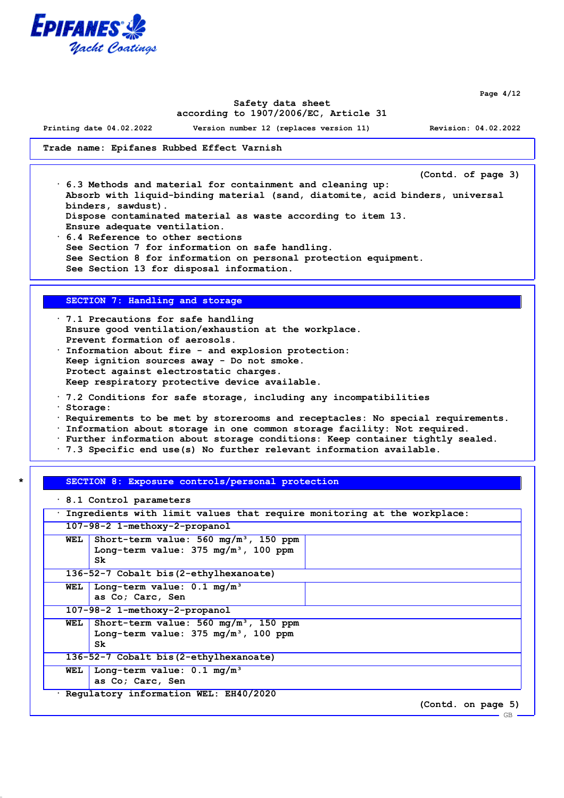

**Page 4/12**

## **Safety data sheet according to 1907/2006/EC, Article 31**

**Printing date 04.02.2022 Version number 12 (replaces version 11) Revision: 04.02.2022**

### **Trade name: Epifanes Rubbed Effect Varnish**

**(Contd. of page 3)**

**· 6.3 Methods and material for containment and cleaning up: Absorb with liquid-binding material (sand, diatomite, acid binders, universal binders, sawdust). Dispose contaminated material as waste according to item 13. Ensure adequate ventilation.**

**· 6.4 Reference to other sections See Section 7 for information on safe handling. See Section 8 for information on personal protection equipment. See Section 13 for disposal information.**

## **SECTION 7: Handling and storage**

- **· 7.1 Precautions for safe handling Ensure good ventilation/exhaustion at the workplace. Prevent formation of aerosols. · Information about fire - and explosion protection: Keep ignition sources away - Do not smoke. Protect against electrostatic charges.**
- **Keep respiratory protective device available.**
- **· 7.2 Conditions for safe storage, including any incompatibilities**
- **· Storage:**
- **· Requirements to be met by storerooms and receptacles: No special requirements.**
- **· Information about storage in one common storage facility: Not required.**
- **· Further information about storage conditions: Keep container tightly sealed.**
- **· 7.3 Specific end use(s) No further relevant information available.**

### **\* SECTION 8: Exposure controls/personal protection**

|     | $\cdot$ 8.1 Control parameters                                                                             |  |                    |  |
|-----|------------------------------------------------------------------------------------------------------------|--|--------------------|--|
|     | Ingredients with limit values that require monitoring at the workplace:                                    |  |                    |  |
|     | 107-98-2 1-methoxy-2-propanol                                                                              |  |                    |  |
| WEL | Short-term value: $560 \text{ mg/m}^3$ , 150 ppm<br>Long-term value: $375 \text{ mg/m}^3$ , 100 ppm<br>Sk. |  |                    |  |
|     | 136-52-7 Cobalt bis (2-ethylhexanoate)                                                                     |  |                    |  |
|     | WEL Long-term value: $0.1 \text{ mg/m}^3$<br>as Co; Carc, Sen                                              |  |                    |  |
|     | 107-98-2 1-methoxy-2-propanol                                                                              |  |                    |  |
| WEL | Short-term value: $560 \text{ mg/m}^3$ , 150 ppm<br>Long-term value: $375 \text{ mg/m}^3$ , 100 ppm<br>Sk. |  |                    |  |
|     | 136-52-7 Cobalt bis(2-ethylhexanoate)                                                                      |  |                    |  |
| WEL | Long-term value: $0.1 \text{ mg/m}^3$<br>as Co; Carc, Sen                                                  |  |                    |  |
|     | Requlatory information WEL: EH40/2020                                                                      |  |                    |  |
|     |                                                                                                            |  | (Contd. on page 5) |  |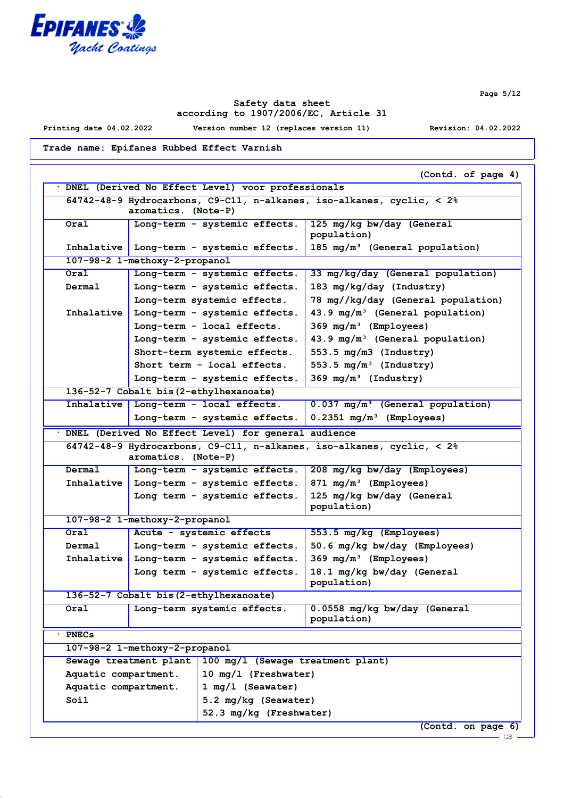

**Page 5/12**

# **Safety data sheet according to 1907/2006/EC, Article 31**

**Printing date 04.02.2022 Version number 12 (replaces version 11) Revision: 04.02.2022**

**Trade name: Epifanes Rubbed Effect Varnish**

|                                                                                                             |                               |                                                                       | (Contd. of page 4)                                                                   |  |
|-------------------------------------------------------------------------------------------------------------|-------------------------------|-----------------------------------------------------------------------|--------------------------------------------------------------------------------------|--|
|                                                                                                             |                               | DNEL (Derived No Effect Level) voor professionals                     |                                                                                      |  |
| 64742-48-9 Hydrocarbons, C9-C11, n-alkanes, iso-alkanes, cyclic, $\langle 2 \rangle$<br>aromatics. (Note-P) |                               |                                                                       |                                                                                      |  |
| Oral                                                                                                        |                               | Long-term - systemic effects.                                         | 125 mg/kg bw/day (General<br>population)                                             |  |
|                                                                                                             |                               | Inhalative   Long-term - systemic effects.                            | 185 mg/m <sup>3</sup> (General population)                                           |  |
|                                                                                                             | 107-98-2 1-methoxy-2-propanol |                                                                       |                                                                                      |  |
| Oral                                                                                                        |                               | Long-term - systemic effects.                                         | 33 mg/kg/day (General population)                                                    |  |
| Dermal                                                                                                      |                               | Long-term - systemic effects.                                         | 183 mg/kg/day (Industry)                                                             |  |
|                                                                                                             |                               | Long-term systemic effects.                                           | 78 mg//kg/day (General population)                                                   |  |
| Inhalative                                                                                                  |                               | Long-term - systemic effects.                                         | 43.9 mg/m <sup>3</sup> (General population)                                          |  |
|                                                                                                             |                               | Long-term - local effects.                                            | $369 \text{ mg/m}^3$ (Employees)                                                     |  |
|                                                                                                             |                               | Long-term - systemic effects.                                         | 43.9 mg/m <sup>3</sup> (General population)                                          |  |
|                                                                                                             |                               | Short-term systemic effects.                                          | 553.5 mg/m3 (Industry)                                                               |  |
|                                                                                                             |                               | Short term - local effects.                                           | 553.5 $mg/m^3$ (Industry)                                                            |  |
|                                                                                                             |                               | Long-term - systemic effects.                                         | 369 $mg/m^3$ (Industry)                                                              |  |
|                                                                                                             |                               | 136-52-7 Cobalt bis (2-ethylhexanoate)                                |                                                                                      |  |
|                                                                                                             |                               | Inhalative   Long-term - local effects.                               | 0.037 mg/m <sup>3</sup> (General population)                                         |  |
|                                                                                                             |                               | Long-term - systemic effects.                                         | $0.2351$ mg/m <sup>3</sup> (Employees)                                               |  |
| DNEL (Derived No Effect Level) for general audience                                                         |                               |                                                                       |                                                                                      |  |
|                                                                                                             |                               |                                                                       | 64742-48-9 Hydrocarbons, C9-C11, n-alkanes, iso-alkanes, cyclic, $\langle 2 \rangle$ |  |
|                                                                                                             | aromatics. (Note-P)           |                                                                       |                                                                                      |  |
| Dermal                                                                                                      |                               | Long-term - systemic effects.                                         | 208 mg/kg bw/day (Employees)                                                         |  |
| Inhalative                                                                                                  |                               | Long-term - systemic effects.                                         | 871 mg/m <sup>3</sup> (Employees)                                                    |  |
|                                                                                                             |                               | Long term - systemic effects.                                         | 125 mg/kg bw/day (General                                                            |  |
|                                                                                                             |                               |                                                                       |                                                                                      |  |
|                                                                                                             |                               |                                                                       | population)                                                                          |  |
| Oral                                                                                                        | 107-98-2 1-methoxy-2-propanol |                                                                       |                                                                                      |  |
| Dermal                                                                                                      |                               | Acute - systemic effects                                              | 553.5 mg/kg (Employees)                                                              |  |
| Inhalative                                                                                                  |                               | Long-term - systemic effects.                                         | 50.6 mg/kg bw/day (Employees)                                                        |  |
|                                                                                                             |                               | Long-term - systemic effects.<br>Long term - systemic effects.        | 369 mg/m <sup>3</sup> (Employees)<br>18.1 mg/kg bw/day (General<br>population)       |  |
|                                                                                                             |                               |                                                                       |                                                                                      |  |
| Oral                                                                                                        |                               | 136-52-7 Cobalt bis (2-ethylhexanoate)<br>Long-term systemic effects. | 0.0558 mg/kg bw/day (General<br>population)                                          |  |
| <b>PNECs</b>                                                                                                |                               |                                                                       |                                                                                      |  |
|                                                                                                             |                               |                                                                       |                                                                                      |  |
|                                                                                                             | 107-98-2 1-methoxy-2-propanol |                                                                       |                                                                                      |  |
|                                                                                                             | Sewage treatment plant        | 100 mg/l (Sewage treatment plant)                                     |                                                                                      |  |
| Aquatic compartment.                                                                                        |                               | 10 mg/l (Freshwater)                                                  |                                                                                      |  |
| Aquatic compartment.                                                                                        |                               | 1 mg/l (Seawater)                                                     |                                                                                      |  |
| Soil                                                                                                        |                               | 5.2 mg/kg (Seawater)<br>52.3 mg/kg (Freshwater)                       |                                                                                      |  |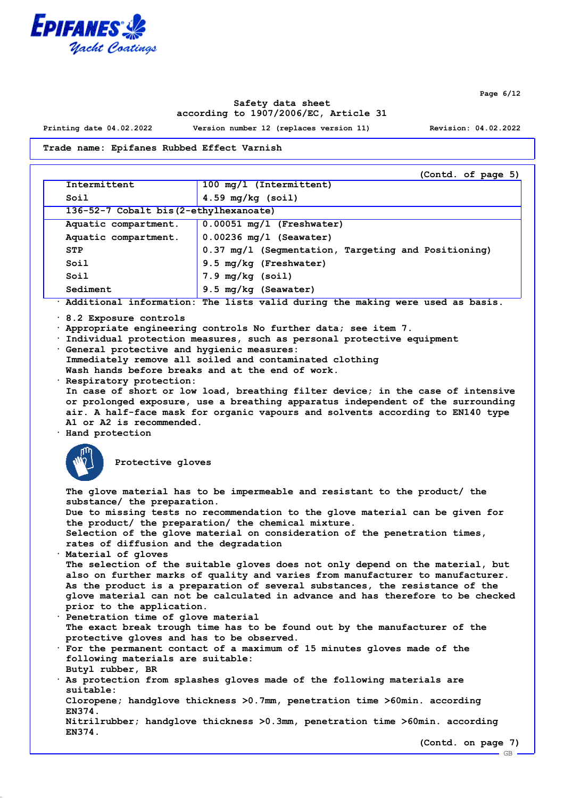

**Page 6/12**

# **Safety data sheet according to 1907/2006/EC, Article 31**

**Printing date 04.02.2022 Version number 12 (replaces version 11) Revision: 04.02.2022**

# **Trade name: Epifanes Rubbed Effect Varnish**

|                                                                                                                                                                                                                                                                                                                                                                                                                                                                                                                                                                                                                                                                                                | (Contd. of page 5)                                                                                                                                                                                                                                                                                                                                                                                                                                                                                                                                                                                                                                                                                                                                                                                                                                                                                                                                                                                                                          |  |
|------------------------------------------------------------------------------------------------------------------------------------------------------------------------------------------------------------------------------------------------------------------------------------------------------------------------------------------------------------------------------------------------------------------------------------------------------------------------------------------------------------------------------------------------------------------------------------------------------------------------------------------------------------------------------------------------|---------------------------------------------------------------------------------------------------------------------------------------------------------------------------------------------------------------------------------------------------------------------------------------------------------------------------------------------------------------------------------------------------------------------------------------------------------------------------------------------------------------------------------------------------------------------------------------------------------------------------------------------------------------------------------------------------------------------------------------------------------------------------------------------------------------------------------------------------------------------------------------------------------------------------------------------------------------------------------------------------------------------------------------------|--|
| Intermittent                                                                                                                                                                                                                                                                                                                                                                                                                                                                                                                                                                                                                                                                                   | 100 mg/l (Intermittent)                                                                                                                                                                                                                                                                                                                                                                                                                                                                                                                                                                                                                                                                                                                                                                                                                                                                                                                                                                                                                     |  |
| Soil                                                                                                                                                                                                                                                                                                                                                                                                                                                                                                                                                                                                                                                                                           | $4.59$ mg/kg (soil)                                                                                                                                                                                                                                                                                                                                                                                                                                                                                                                                                                                                                                                                                                                                                                                                                                                                                                                                                                                                                         |  |
| 136-52-7 Cobalt bis (2-ethylhexanoate)                                                                                                                                                                                                                                                                                                                                                                                                                                                                                                                                                                                                                                                         |                                                                                                                                                                                                                                                                                                                                                                                                                                                                                                                                                                                                                                                                                                                                                                                                                                                                                                                                                                                                                                             |  |
| Aquatic compartment.                                                                                                                                                                                                                                                                                                                                                                                                                                                                                                                                                                                                                                                                           | $0.00051$ mg/l (Freshwater)                                                                                                                                                                                                                                                                                                                                                                                                                                                                                                                                                                                                                                                                                                                                                                                                                                                                                                                                                                                                                 |  |
| Aquatic compartment.                                                                                                                                                                                                                                                                                                                                                                                                                                                                                                                                                                                                                                                                           | $0.00236$ mg/l (Seawater)                                                                                                                                                                                                                                                                                                                                                                                                                                                                                                                                                                                                                                                                                                                                                                                                                                                                                                                                                                                                                   |  |
| <b>STP</b>                                                                                                                                                                                                                                                                                                                                                                                                                                                                                                                                                                                                                                                                                     | 0.37 mg/l (Segmentation, Targeting and Positioning)                                                                                                                                                                                                                                                                                                                                                                                                                                                                                                                                                                                                                                                                                                                                                                                                                                                                                                                                                                                         |  |
| Soil                                                                                                                                                                                                                                                                                                                                                                                                                                                                                                                                                                                                                                                                                           | 9.5 mg/kg (Freshwater)                                                                                                                                                                                                                                                                                                                                                                                                                                                                                                                                                                                                                                                                                                                                                                                                                                                                                                                                                                                                                      |  |
| Soil                                                                                                                                                                                                                                                                                                                                                                                                                                                                                                                                                                                                                                                                                           | 7.9 mg/kg (soil)                                                                                                                                                                                                                                                                                                                                                                                                                                                                                                                                                                                                                                                                                                                                                                                                                                                                                                                                                                                                                            |  |
| Sediment                                                                                                                                                                                                                                                                                                                                                                                                                                                                                                                                                                                                                                                                                       | 9.5 mg/kg (Seawater)                                                                                                                                                                                                                                                                                                                                                                                                                                                                                                                                                                                                                                                                                                                                                                                                                                                                                                                                                                                                                        |  |
|                                                                                                                                                                                                                                                                                                                                                                                                                                                                                                                                                                                                                                                                                                | · Additional information: The lists valid during the making were used as basis.                                                                                                                                                                                                                                                                                                                                                                                                                                                                                                                                                                                                                                                                                                                                                                                                                                                                                                                                                             |  |
| $\cdot$ 8.2 Exposure controls<br>Appropriate engineering controls No further data; see item 7.<br>Individual protection measures, such as personal protective equipment<br>General protective and hygienic measures:<br>Immediately remove all soiled and contaminated clothing<br>Wash hands before breaks and at the end of work.<br>· Respiratory protection:<br>In case of short or low load, breathing filter device; in the case of intensive<br>or prolonged exposure, use a breathing apparatus independent of the surrounding<br>air. A half-face mask for organic vapours and solvents according to EN140 type<br>A1 or A2 is recommended.<br>· Hand protection<br>Protective gloves |                                                                                                                                                                                                                                                                                                                                                                                                                                                                                                                                                                                                                                                                                                                                                                                                                                                                                                                                                                                                                                             |  |
| substance/ the preparation.<br>rates of diffusion and the degradation<br>Material of gloves<br>prior to the application.<br>· Penetration time of glove material<br>protective gloves and has to be observed.<br>following materials are suitable:<br>Butyl rubber, BR<br>suitable:<br>EN374.<br>EN374.                                                                                                                                                                                                                                                                                                                                                                                        | The glove material has to be impermeable and resistant to the product/ the<br>Due to missing tests no recommendation to the glove material can be given for<br>the product/ the preparation/ the chemical mixture.<br>Selection of the glove material on consideration of the penetration times,<br>The selection of the suitable gloves does not only depend on the material, but<br>also on further marks of quality and varies from manufacturer to manufacturer.<br>As the product is a preparation of several substances, the resistance of the<br>glove material can not be calculated in advance and has therefore to be checked<br>The exact break trough time has to be found out by the manufacturer of the<br>· For the permanent contact of a maximum of 15 minutes gloves made of the<br>. As protection from splashes gloves made of the following materials are<br>Cloropene; handglove thickness >0.7mm, penetration time >60min. according<br>Nitrilrubber; handglove thickness >0.3mm, penetration time >60min. according |  |
|                                                                                                                                                                                                                                                                                                                                                                                                                                                                                                                                                                                                                                                                                                | (Contd. on page 7)<br>GB                                                                                                                                                                                                                                                                                                                                                                                                                                                                                                                                                                                                                                                                                                                                                                                                                                                                                                                                                                                                                    |  |
|                                                                                                                                                                                                                                                                                                                                                                                                                                                                                                                                                                                                                                                                                                |                                                                                                                                                                                                                                                                                                                                                                                                                                                                                                                                                                                                                                                                                                                                                                                                                                                                                                                                                                                                                                             |  |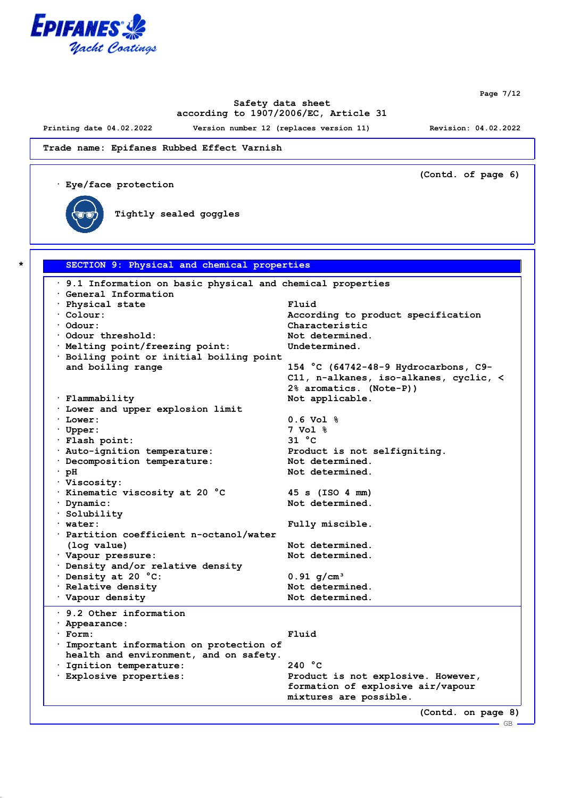

**Page 7/12**

GB

# **Safety data sheet according to 1907/2006/EC, Article 31**

**Printing date 04.02.2022 Version number 12 (replaces version 11) Revision: 04.02.2022**

**(Contd. of page 6)**

**Trade name: Epifanes Rubbed Effect Varnish**

**· Eye/face protection**



**Tightly sealed goggles**

| 9.1 Information on basic physical and chemical properties |                                        |
|-----------------------------------------------------------|----------------------------------------|
| General Information                                       |                                        |
| · Physical state                                          | Fluid                                  |
| $\cdot$ Colour:                                           | According to product specification     |
| $·$ Odour:                                                | Characteristic                         |
| Odour threshold:                                          | Not determined.                        |
| · Melting point/freezing point:                           | Undetermined.                          |
| · Boiling point or initial boiling point                  |                                        |
| and boiling range                                         | 154 °C (64742-48-9 Hydrocarbons, C9-   |
|                                                           | C11, n-alkanes, iso-alkanes, cyclic, < |
|                                                           | 2% aromatics. (Note-P))                |
| · Flammability                                            | Not applicable.                        |
| . Lower and upper explosion limit                         |                                        |
| $\cdot$ Lower:                                            | $0.6 \text{ Vol }$ %                   |
| $\cdot$ Upper:                                            | $7$ Vol $%$                            |
| · Flash point:                                            | 31 °C                                  |
| · Auto-ignition temperature:                              | Product is not selfigniting.           |
| · Decomposition temperature:                              | Not determined.                        |
| $\cdot$ pH                                                | Not determined.                        |
| · Viscosity:                                              |                                        |
| · Kinematic viscosity at 20 °C                            | 45 s (ISO 4 mm)                        |
| Dynamic:                                                  | Not determined.                        |
| $\cdot$ Solubility                                        |                                        |
| $\cdot$ water:                                            | Fully miscible.                        |
| · Partition coefficient n-octanol/water                   |                                        |
| (log value)                                               | Not determined.                        |
| · Vapour pressure:                                        | Not determined.                        |
| · Density and/or relative density                         |                                        |
| Density at 20 °C:                                         | $0.91$ g/cm <sup>3</sup>               |
| · Relative density                                        | Not determined.                        |
| · Vapour density                                          | Not determined.                        |
| $\cdot$ 9.2 Other information                             |                                        |
| · Appearance:                                             |                                        |
| $·$ Form:                                                 | Fluid                                  |
| · Important information on protection of                  |                                        |
| health and environment, and on safety.                    |                                        |
| · Ignition temperature:                                   | 240 °C                                 |
| · Explosive properties:                                   | Product is not explosive. However,     |
|                                                           | formation of explosive air/vapour      |
|                                                           | mixtures are possible.                 |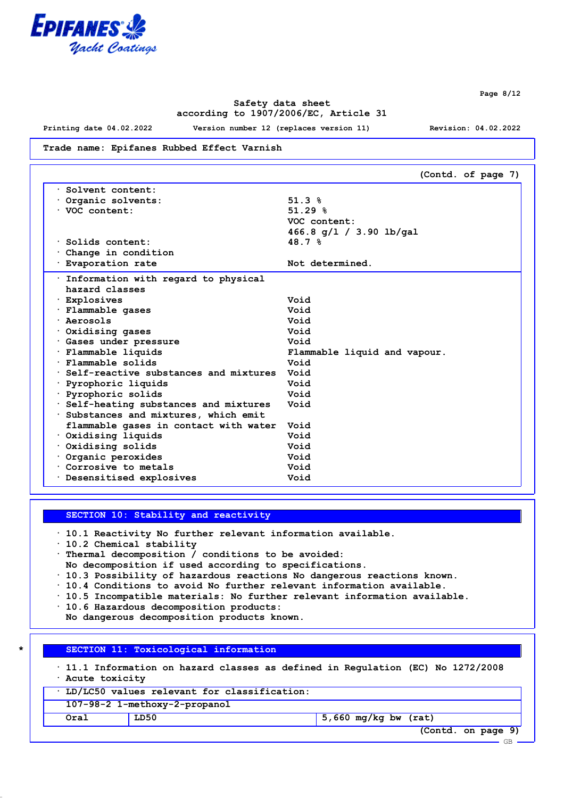

**Safety data sheet according to 1907/2006/EC, Article 31**

**Printing date 04.02.2022 Version number 12 (replaces version 11) Revision: 04.02.2022**

**Page 8/12**

**Trade name: Epifanes Rubbed Effect Varnish**

**(Contd. of page 7) · Solvent content: · Organic solvents: 51.3 % · VOC content: 51.29 % VOC content: 466.8 g/l / 3.90 lb/gal · Solids content: 48.7 % · Change in condition** · **Evaporation rate 1988 1997 1998 Not determined. · Information with regard to physical hazard classes · Explosives Void · Flammable gases Void · Aerosols Void · Oxidising gases Void · Gases under pressure Void · Flammable liquids Flammable liquid and vapour. · Flammable solids Void · Self-reactive substances and mixtures Void · Pyrophoric liquids Void · Pyrophoric solids Void · Self-heating substances and mixtures Void · Substances and mixtures, which emit flammable gases in contact with water Void · Oxidising liquids Void · Oxidising solids Void · Organic peroxides Void · Corrosive to metals Void · Desensitised explosives Void**

**SECTION 10: Stability and reactivity**

**· 10.1 Reactivity No further relevant information available.**

**· 10.2 Chemical stability**

**· Thermal decomposition / conditions to be avoided:**

**No decomposition if used according to specifications.**

**· 10.3 Possibility of hazardous reactions No dangerous reactions known.**

- **· 10.4 Conditions to avoid No further relevant information available.**
- **· 10.5 Incompatible materials: No further relevant information available.**

**· 10.6 Hazardous decomposition products:**

**No dangerous decomposition products known.**

**\* SECTION 11: Toxicological information**

**· 11.1 Information on hazard classes as defined in Regulation (EC) No 1272/2008 · Acute toxicity**

| LD/LC50 values relevant for classification: |                               |                        |  |            |
|---------------------------------------------|-------------------------------|------------------------|--|------------|
|                                             | 107-98-2 1-methoxy-2-propanol |                        |  |            |
| Oral                                        | LD50                          | $5,660$ mg/kg bw (rat) |  |            |
|                                             |                               |                        |  | $\sqrt{2}$ |

**(Contd. on page 9)**

GB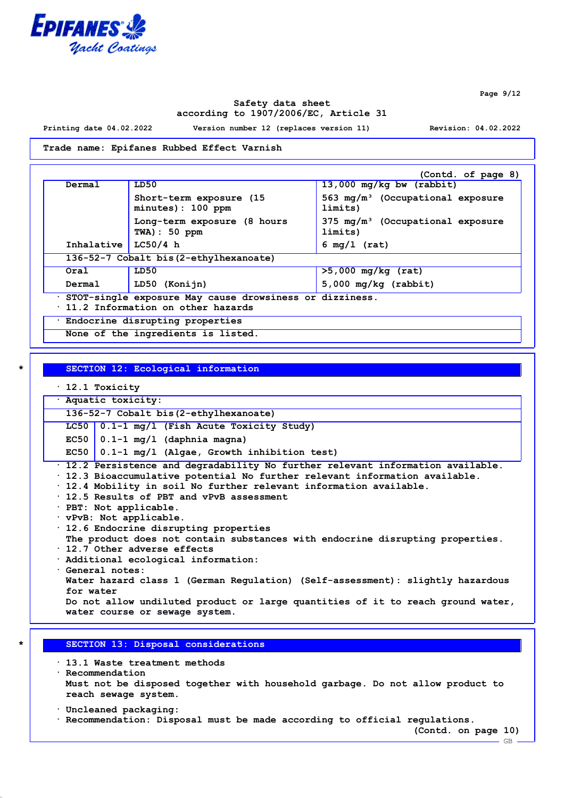

**Page 9/12**

# **Safety data sheet according to 1907/2006/EC, Article 31**

**Printing date 04.02.2022 Version number 12 (replaces version 11) Revision: 04.02.2022**

#### **Trade name: Epifanes Rubbed Effect Varnish**

|                                        |                                                                                                | (Contd. of page 8)                                      |  |
|----------------------------------------|------------------------------------------------------------------------------------------------|---------------------------------------------------------|--|
| Dermal                                 | LD50                                                                                           | $13,000$ mg/kg bw (rabbit)                              |  |
|                                        | Short-term exposure (15<br>minutes): 100 ppm                                                   | 563 mg/m <sup>3</sup> (Occupational exposure<br>limits) |  |
|                                        | Long-term exposure (8 hours<br>$TWA$ ) : 50 ppm                                                | $375 \text{ mg/m}^3$ (Occupational exposure<br>limits)  |  |
| Inhalative                             | LC50/4 h                                                                                       | $6 \text{ mg}/1 \text{ (rat)}$                          |  |
| 136-52-7 Cobalt bis (2-ethylhexanoate) |                                                                                                |                                                         |  |
| Oral                                   | LD50                                                                                           | $>5,000$ mg/kg (rat)                                    |  |
| Dermal                                 | LD50 (Konijn)                                                                                  | $5,000$ mg/kg (rabbit)                                  |  |
|                                        | · STOT-single exposure May cause drowsiness or dizziness.<br>11.2 Information on other hazards |                                                         |  |
| Endocrine disrupting properties        |                                                                                                |                                                         |  |
|                                        | None of the ingredients is listed.                                                             |                                                         |  |

**\* SECTION 12: Ecological information**

- **· 12.1 Toxicity**
- **· Aquatic toxicity:**

**136-52-7 Cobalt bis(2-ethylhexanoate)**

**LC50 0.1-1 mg/l (Fish Acute Toxicity Study)**

**EC50 0.1-1 mg/l (daphnia magna)**

**EC50 0.1-1 mg/l (Algae, Growth inhibition test)**

**· 12.2 Persistence and degradability No further relevant information available.**

- **· 12.3 Bioaccumulative potential No further relevant information available.**
- **· 12.4 Mobility in soil No further relevant information available.**
- **· 12.5 Results of PBT and vPvB assessment**
- **· PBT: Not applicable.**
- **· vPvB: Not applicable.**

**· 12.6 Endocrine disrupting properties The product does not contain substances with endocrine disrupting properties.**

- **· 12.7 Other adverse effects**
- **· Additional ecological information:**
- **· General notes: Water hazard class 1 (German Regulation) (Self-assessment): slightly hazardous for water Do not allow undiluted product or large quantities of it to reach ground water, water course or sewage system.**

#### **\* SECTION 13: Disposal considerations**

**· 13.1 Waste treatment methods · Recommendation Must not be disposed together with household garbage. Do not allow product to reach sewage system.**

- **· Uncleaned packaging:**
- **· Recommendation: Disposal must be made according to official regulations.**

**(Contd. on page 10)**

GB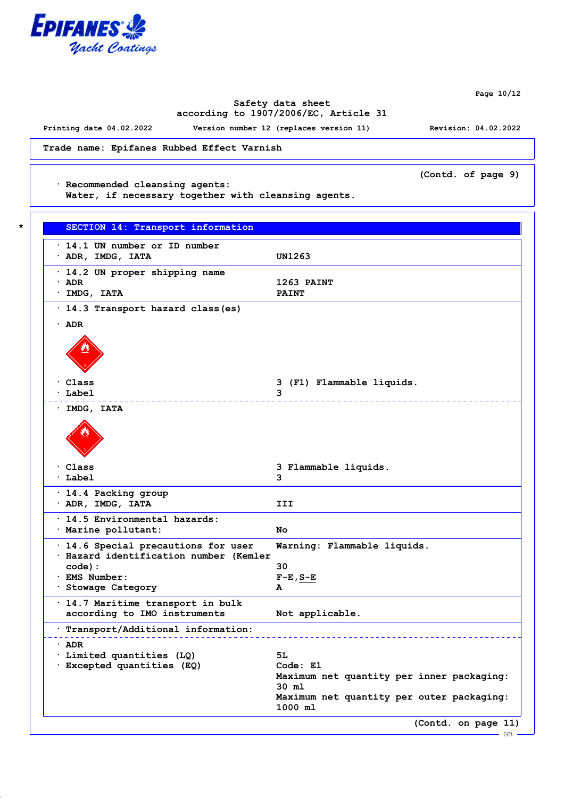

**Page 10/12**

# **Safety data sheet according to 1907/2006/EC, Article 31**

**Printing date 04.02.2022 Version number 12 (replaces version 11) Revision: 04.02.2022**

**Trade name: Epifanes Rubbed Effect Varnish**

**(Contd. of page 9)**

**· Recommended cleansing agents:**

**Water, if necessary together with cleansing agents.**

| $\cdot$ 14.1 UN number or ID number<br>$\cdot$ ADR, IMDG, IATA                | UN1263                                               |
|-------------------------------------------------------------------------------|------------------------------------------------------|
|                                                                               |                                                      |
| · 14.2 UN proper shipping name<br>· ADR                                       | 1263 PAINT                                           |
| · IMDG, IATA                                                                  | <b>PAINT</b>                                         |
| · 14.3 Transport hazard class (es)                                            |                                                      |
| $\cdot$ ADR                                                                   |                                                      |
|                                                                               |                                                      |
| · Class                                                                       | 3 (F1) Flammable liquids.                            |
| <sup>.</sup> Label                                                            | 3                                                    |
| $·$ IMDG, IATA                                                                |                                                      |
|                                                                               |                                                      |
| · Class                                                                       | 3 Flammable liquids.                                 |
| · Label                                                                       | 3                                                    |
| · 14.4 Packing group                                                          |                                                      |
| $\cdot$ ADR, IMDG, IATA                                                       | III                                                  |
| . 14.5 Environmental hazards:                                                 |                                                      |
| · Marine pollutant:                                                           | No                                                   |
| · 14.6 Special precautions for user<br>· Hazard identification number (Kemler | Warning: Flammable liquids.                          |
| $code)$ :                                                                     | 30                                                   |
| · EMS Number:                                                                 | $F-E$ , $S-E$                                        |
| · Stowage Category                                                            | А                                                    |
| · 14.7 Maritime transport in bulk<br>according to IMO instruments             | Not applicable.                                      |
|                                                                               |                                                      |
| Transport/Additional information:                                             |                                                      |
| · ADR                                                                         |                                                      |
| Limited quantities (LQ)<br>· Excepted quantities (EQ)                         | 51<br>Code: E1                                       |
|                                                                               | Maximum net quantity per inner packaging:<br>30 ml   |
|                                                                               | Maximum net quantity per outer packaging:<br>1000 ml |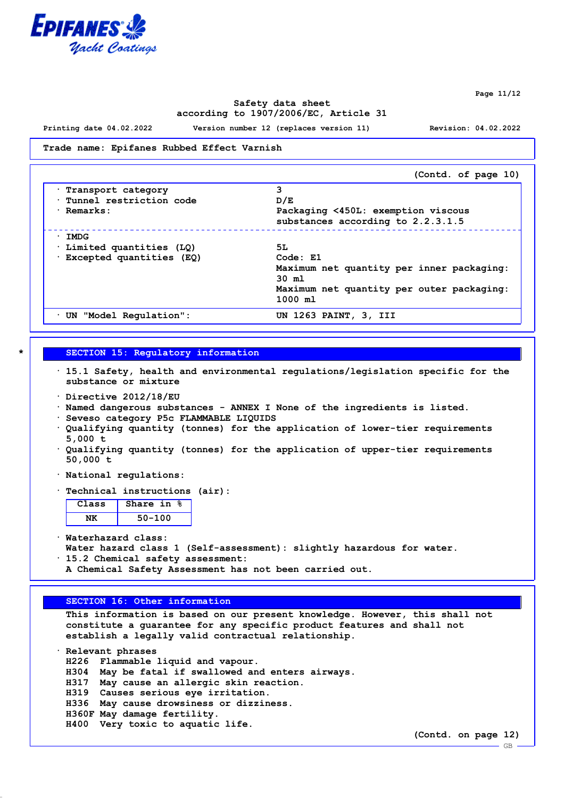

**Page 11/12**

# **Safety data sheet according to 1907/2006/EC, Article 31**

**Printing date 04.02.2022 Version number 12 (replaces version 11) Revision: 04.02.2022**

**Trade name: Epifanes Rubbed Effect Varnish**

|                          | (Contd. of page 10)                       |
|--------------------------|-------------------------------------------|
| Transport category       | 3                                         |
| Tunnel restriction code  | D/E                                       |
| · Remarks:               | Packaging <450L: exemption viscous        |
|                          | substances according to 2.2.3.1.5         |
| $\cdot$ IMDG             |                                           |
| Limited quantities (LQ)  | 5L                                        |
| Excepted quantities (EQ) | Code: E1                                  |
|                          | Maximum net quantity per inner packaging: |
|                          | $30 \text{ m}$                            |
|                          | Maximum net quantity per outer packaging: |
|                          | 1000 m1                                   |
| UN "Model Regulation":   | UN 1263 PAINT, 3, III                     |

### **\* SECTION 15: Regulatory information**

- **· 15.1 Safety, health and environmental regulations/legislation specific for the substance or mixture**
- **· Directive 2012/18/EU**
- **· Named dangerous substances ANNEX I None of the ingredients is listed.**
- **· Seveso category P5c FLAMMABLE LIQUIDS**
- **· Qualifying quantity (tonnes) for the application of lower-tier requirements 5,000 t**
- **· Qualifying quantity (tonnes) for the application of upper-tier requirements 50,000 t**
- **· National regulations:**
- **· Technical instructions (air):**

| Class | Share in |
|-------|----------|
|       | 50-100   |

**· Waterhazard class:**

- **Water hazard class 1 (Self-assessment): slightly hazardous for water.**
- **· 15.2 Chemical safety assessment:**
- **A Chemical Safety Assessment has not been carried out.**

### **SECTION 16: Other information**

**This information is based on our present knowledge. However, this shall not constitute a guarantee for any specific product features and shall not establish a legally valid contractual relationship.**

**· Relevant phrases H226 Flammable liquid and vapour. H304 May be fatal if swallowed and enters airways. H317 May cause an allergic skin reaction. H319 Causes serious eye irritation. H336 May cause drowsiness or dizziness. H360F May damage fertility. H400 Very toxic to aquatic life.**

**(Contd. on page 12)**

GB